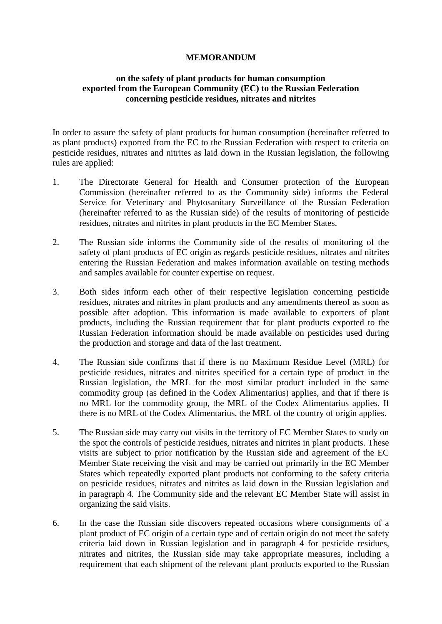## **MEMORANDUM**

## **on the safety of plant products for human consumption exported from the European Community (EC) to the Russian Federation concerning pesticide residues, nitrates and nitrites**

In order to assure the safety of plant products for human consumption (hereinafter referred to as plant products) exported from the EC to the Russian Federation with respect to criteria on pesticide residues, nitrates and nitrites as laid down in the Russian legislation, the following rules are applied:

- 1. The Directorate General for Health and Consumer protection of the European Commission (hereinafter referred to as the Community side) informs the Federal Service for Veterinary and Phytosanitary Surveillance of the Russian Federation (hereinafter referred to as the Russian side) of the results of monitoring of pesticide residues, nitrates and nitrites in plant products in the EC Member States.
- 2. The Russian side informs the Community side of the results of monitoring of the safety of plant products of EC origin as regards pesticide residues, nitrates and nitrites entering the Russian Federation and makes information available on testing methods and samples available for counter expertise on request.
- 3. Both sides inform each other of their respective legislation concerning pesticide residues, nitrates and nitrites in plant products and any amendments thereof as soon as possible after adoption. This information is made available to exporters of plant products, including the Russian requirement that for plant products exported to the Russian Federation information should be made available on pesticides used during the production and storage and data of the last treatment.
- 4. The Russian side confirms that if there is no Maximum Residue Level (MRL) for pesticide residues, nitrates and nitrites specified for a certain type of product in the Russian legislation, the MRL for the most similar product included in the same commodity group (as defined in the Codex Alimentarius) applies, and that if there is no MRL for the commodity group, the MRL of the Codex Alimentarius applies. If there is no MRL of the Codex Alimentarius, the MRL of the country of origin applies.
- 5. The Russian side may carry out visits in the territory of EC Member States to study on the spot the controls of pesticide residues, nitrates and nitrites in plant products. These visits are subject to prior notification by the Russian side and agreement of the EC Member State receiving the visit and may be carried out primarily in the EC Member States which repeatedly exported plant products not conforming to the safety criteria on pesticide residues, nitrates and nitrites as laid down in the Russian legislation and in paragraph 4. The Community side and the relevant EC Member State will assist in organizing the said visits.
- 6. In the case the Russian side discovers repeated occasions where consignments of a plant product of EC origin of a certain type and of certain origin do not meet the safety criteria laid down in Russian legislation and in paragraph 4 for pesticide residues, nitrates and nitrites, the Russian side may take appropriate measures, including a requirement that each shipment of the relevant plant products exported to the Russian